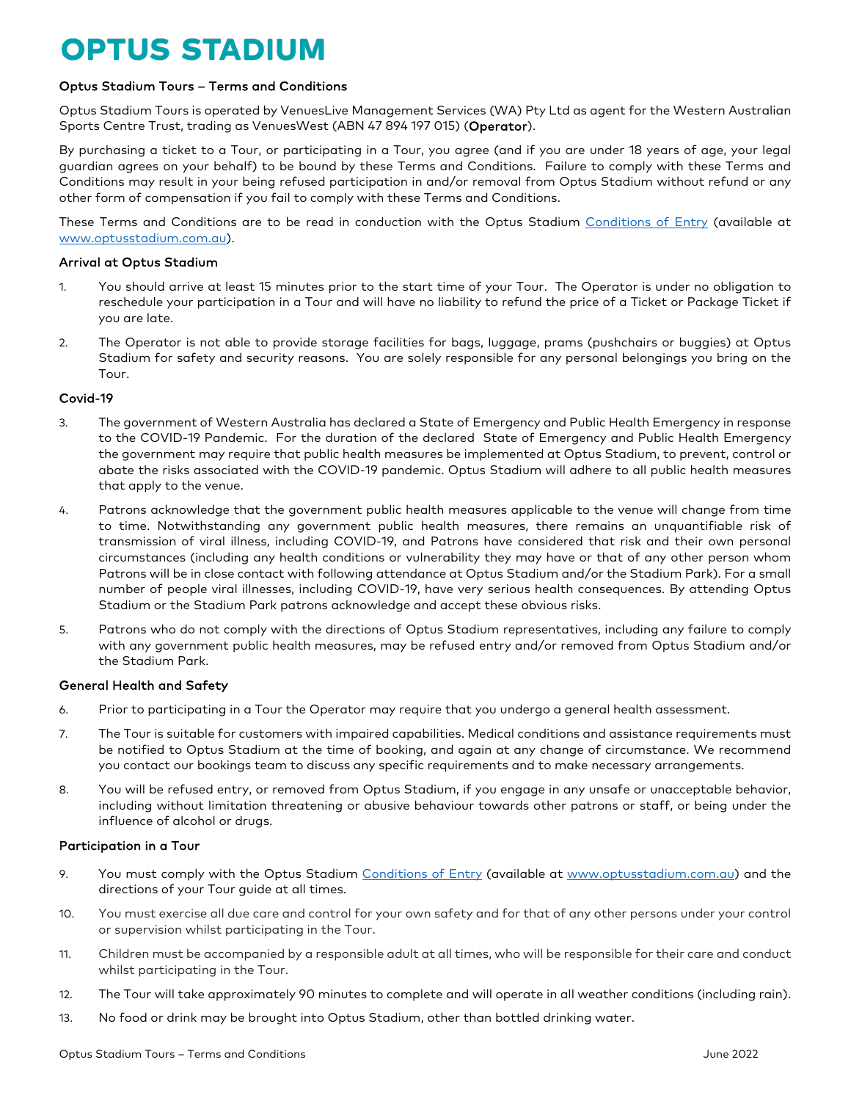# **OPTUS STADIUM**

# Optus Stadium Tours – Terms and Conditions

Optus Stadium Tours is operated by VenuesLive Management Services (WA) Pty Ltd as agent for the Western Australian Sports Centre Trust, trading as VenuesWest (ABN 47 894 197 015) (Operator).

By purchasing a ticket to a Tour, or participating in a Tour, you agree (and if you are under 18 years of age, your legal guardian agrees on your behalf) to be bound by these Terms and Conditions. Failure to comply with these Terms and Conditions may result in your being refused participation in and/or removal from Optus Stadium without refund or any other form of compensation if you fail to comply with these Terms and Conditions.

These Terms and Conditions are to be read in conduction with the Optus Stadium [Conditions of Entry](http://www.adelaideoval.com.au/102/conditions-of-entry.aspx?query=1) (available at [www.optusstadium.com.au\)](http://www.optusstadium.com.au/).

## Arrival at Optus Stadium

- 1. You should arrive at least 15 minutes prior to the start time of your Tour. The Operator is under no obligation to reschedule your participation in a Tour and will have no liability to refund the price of a Ticket or Package Ticket if you are late.
- 2. The Operator is not able to provide storage facilities for bags, luggage, prams (pushchairs or buggies) at Optus Stadium for safety and security reasons. You are solely responsible for any personal belongings you bring on the Tour.

## Covid-19

- 3. The government of Western Australia has declared a State of Emergency and Public Health Emergency in response to the COVID-19 Pandemic. For the duration of the declared State of Emergency and Public Health Emergency the government may require that public health measures be implemented at Optus Stadium, to prevent, control or abate the risks associated with the COVID-19 pandemic. Optus Stadium will adhere to all public health measures that apply to the venue.
- 4. Patrons acknowledge that the government public health measures applicable to the venue will change from time to time. Notwithstanding any government public health measures, there remains an unquantifiable risk of transmission of viral illness, including COVID-19, and Patrons have considered that risk and their own personal circumstances (including any health conditions or vulnerability they may have or that of any other person whom Patrons will be in close contact with following attendance at Optus Stadium and/or the Stadium Park). For a small number of people viral illnesses, including COVID-19, have very serious health consequences. By attending Optus Stadium or the Stadium Park patrons acknowledge and accept these obvious risks.
- 5. Patrons who do not comply with the directions of Optus Stadium representatives, including any failure to comply with any government public health measures, may be refused entry and/or removed from Optus Stadium and/or the Stadium Park.

# General Health and Safety

- 6. Prior to participating in a Tour the Operator may require that you undergo a general health assessment.
- 7. The Tour is suitable for customers with impaired capabilities. Medical conditions and assistance requirements must be notified to Optus Stadium at the time of booking, and again at any change of circumstance. We recommend you contact our bookings team to discuss any specific requirements and to make necessary arrangements.
- 8. You will be refused entry, or removed from Optus Stadium, if you engage in any unsafe or unacceptable behavior, including without limitation threatening or abusive behaviour towards other patrons or staff, or being under the influence of alcohol or drugs.

# Participation in a Tour

- 9. You must comply with the Optus Stadium [Conditions of Entry](http://www.adelaideoval.com.au/102/conditions-of-entry.aspx?query=1) (available at [www.optusstadium.com.au\)](http://www.optusstadium.com.au/) and the directions of your Tour guide at all times.
- 10. You must exercise all due care and control for your own safety and for that of any other persons under your control or supervision whilst participating in the Tour.
- 11. Children must be accompanied by a responsible adult at all times, who will be responsible for their care and conduct whilst participating in the Tour.
- 12. The Tour will take approximately 90 minutes to complete and will operate in all weather conditions (including rain).
- 13. No food or drink may be brought into Optus Stadium, other than bottled drinking water.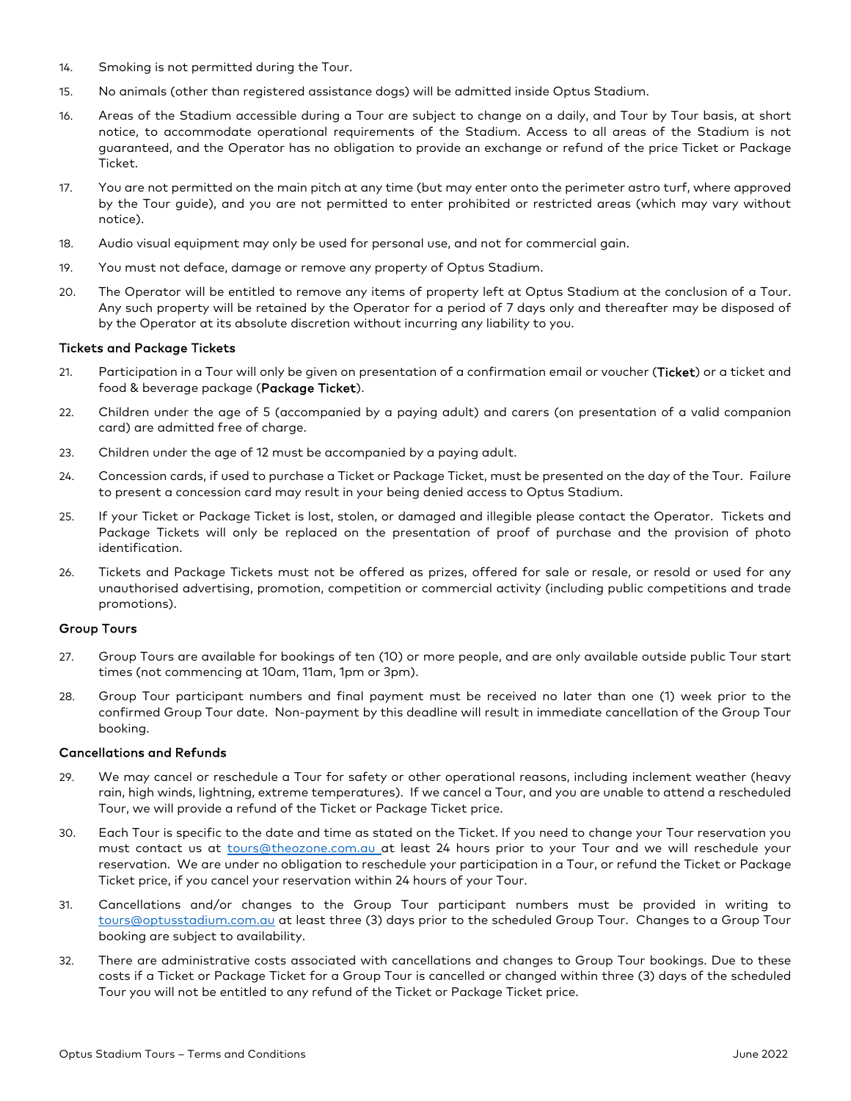- 14. Smoking is not permitted during the Tour.
- 15. No animals (other than registered assistance dogs) will be admitted inside Optus Stadium.
- 16. Areas of the Stadium accessible during a Tour are subject to change on a daily, and Tour by Tour basis, at short notice, to accommodate operational requirements of the Stadium. Access to all areas of the Stadium is not guaranteed, and the Operator has no obligation to provide an exchange or refund of the price Ticket or Package Ticket.
- 17. You are not permitted on the main pitch at any time (but may enter onto the perimeter astro turf, where approved by the Tour guide), and you are not permitted to enter prohibited or restricted areas (which may vary without notice).
- 18. Audio visual equipment may only be used for personal use, and not for commercial gain.
- 19. You must not deface, damage or remove any property of Optus Stadium.
- 20. The Operator will be entitled to remove any items of property left at Optus Stadium at the conclusion of a Tour. Any such property will be retained by the Operator for a period of 7 days only and thereafter may be disposed of by the Operator at its absolute discretion without incurring any liability to you.

#### Tickets and Package Tickets

- 21. Participation in a Tour will only be given on presentation of a confirmation email or voucher (Ticket) or a ticket and food & beverage package (Package Ticket).
- 22. Children under the age of 5 (accompanied by a paying adult) and carers (on presentation of a valid companion card) are admitted free of charge.
- 23. Children under the age of 12 must be accompanied by a paying adult.
- 24. Concession cards, if used to purchase a Ticket or Package Ticket, must be presented on the day of the Tour. Failure to present a concession card may result in your being denied access to Optus Stadium.
- 25. If your Ticket or Package Ticket is lost, stolen, or damaged and illegible please contact the Operator. Tickets and Package Tickets will only be replaced on the presentation of proof of purchase and the provision of photo identification.
- 26. Tickets and Package Tickets must not be offered as prizes, offered for sale or resale, or resold or used for any unauthorised advertising, promotion, competition or commercial activity (including public competitions and trade promotions).

#### Group Tours

- 27. Group Tours are available for bookings of ten (10) or more people, and are only available outside public Tour start times (not commencing at 10am, 11am, 1pm or 3pm).
- 28. Group Tour participant numbers and final payment must be received no later than one (1) week prior to the confirmed Group Tour date. Non-payment by this deadline will result in immediate cancellation of the Group Tour booking.

#### Cancellations and Refunds

- 29. We may cancel or reschedule a Tour for safety or other operational reasons, including inclement weather (heavy rain, high winds, lightning, extreme temperatures). If we cancel a Tour, and you are unable to attend a rescheduled Tour, we will provide a refund of the Ticket or Package Ticket price.
- 30. Each Tour is specific to the date and time as stated on the Ticket. If you need to change your Tour reservation you must contact us at *[tours@theozone.com.au](mailto:tours@theozone.com.au)\_at least 24 hours prior to your Tour and we will reschedule your* reservation. We are under no obligation to reschedule your participation in a Tour, or refund the Ticket or Package Ticket price, if you cancel your reservation within 24 hours of your Tour.
- 31. Cancellations and/or changes to the Group Tour participant numbers must be provided in writing to [tours@optusstadium.com.au](mailto:tours@optusstadium.com.au) at least three (3) days prior to the scheduled Group Tour. Changes to a Group Tour booking are subject to availability.
- 32. There are administrative costs associated with cancellations and changes to Group Tour bookings. Due to these costs if a Ticket or Package Ticket for a Group Tour is cancelled or changed within three (3) days of the scheduled Tour you will not be entitled to any refund of the Ticket or Package Ticket price.